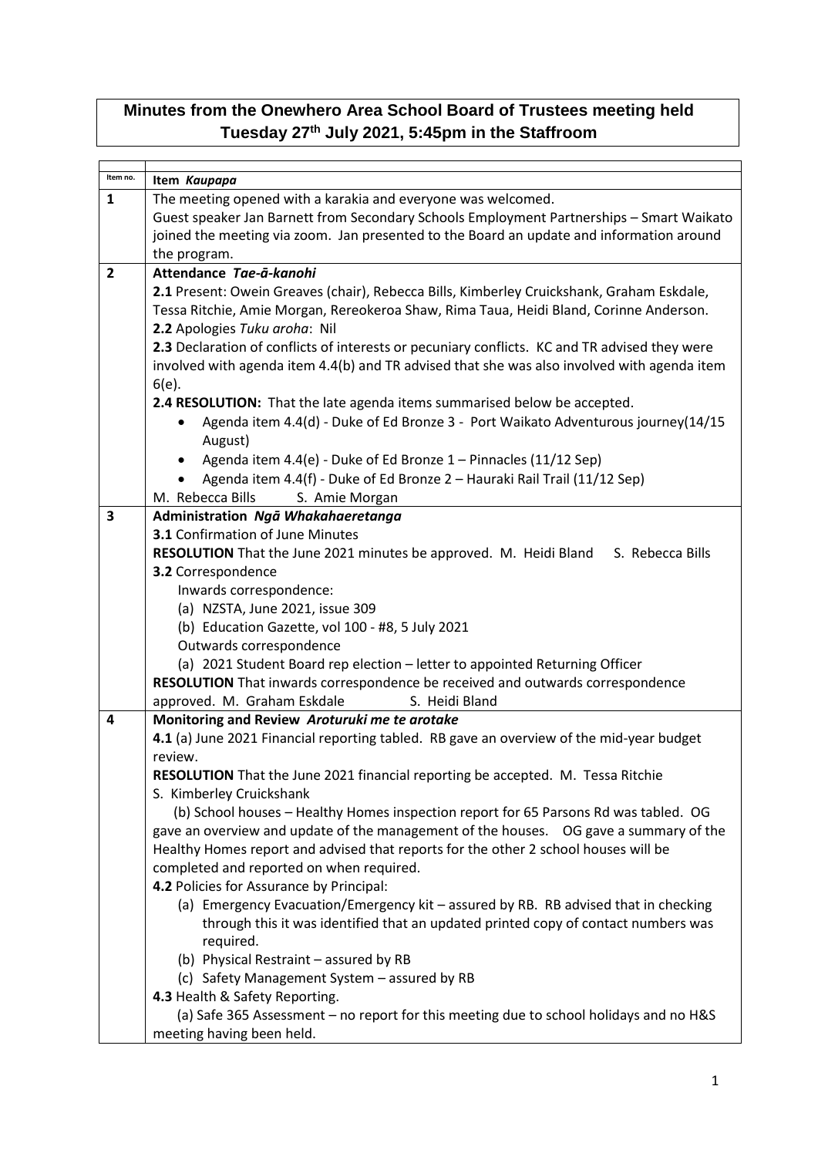## **Minutes from the Onewhero Area School Board of Trustees meeting held Tuesday 27th July 2021, 5:45pm in the Staffroom**

| Item no.       |                                                                                               |
|----------------|-----------------------------------------------------------------------------------------------|
|                | Item Kaupapa                                                                                  |
| 1              | The meeting opened with a karakia and everyone was welcomed.                                  |
|                | Guest speaker Jan Barnett from Secondary Schools Employment Partnerships - Smart Waikato      |
|                | joined the meeting via zoom. Jan presented to the Board an update and information around      |
|                | the program.                                                                                  |
| $\overline{2}$ | Attendance Tae-ā-kanohi                                                                       |
|                | 2.1 Present: Owein Greaves (chair), Rebecca Bills, Kimberley Cruickshank, Graham Eskdale,     |
|                | Tessa Ritchie, Amie Morgan, Rereokeroa Shaw, Rima Taua, Heidi Bland, Corinne Anderson.        |
|                | 2.2 Apologies Tuku aroha: Nil                                                                 |
|                | 2.3 Declaration of conflicts of interests or pecuniary conflicts. KC and TR advised they were |
|                | involved with agenda item 4.4(b) and TR advised that she was also involved with agenda item   |
|                | $6(e)$ .                                                                                      |
|                | 2.4 RESOLUTION: That the late agenda items summarised below be accepted.                      |
|                | Agenda item 4.4(d) - Duke of Ed Bronze 3 - Port Waikato Adventurous journey(14/15             |
|                | August)                                                                                       |
|                |                                                                                               |
|                | Agenda item 4.4(e) - Duke of Ed Bronze 1 - Pinnacles (11/12 Sep)                              |
|                | Agenda item 4.4(f) - Duke of Ed Bronze 2 - Hauraki Rail Trail (11/12 Sep)                     |
|                | M. Rebecca Bills<br>S. Amie Morgan                                                            |
| 3              | Administration Ngā Whakahaeretanga                                                            |
|                | <b>3.1</b> Confirmation of June Minutes                                                       |
|                | <b>RESOLUTION</b> That the June 2021 minutes be approved. M. Heidi Bland<br>S. Rebecca Bills  |
|                | 3.2 Correspondence                                                                            |
|                | Inwards correspondence:                                                                       |
|                | (a) NZSTA, June 2021, issue 309                                                               |
|                | (b) Education Gazette, vol 100 - #8, 5 July 2021                                              |
|                | Outwards correspondence                                                                       |
|                | (a) 2021 Student Board rep election - letter to appointed Returning Officer                   |
|                | <b>RESOLUTION</b> That inwards correspondence be received and outwards correspondence         |
|                | approved. M. Graham Eskdale<br>S. Heidi Bland                                                 |
| 4              | Monitoring and Review Aroturuki me te arotake                                                 |
|                | 4.1 (a) June 2021 Financial reporting tabled. RB gave an overview of the mid-year budget      |
|                | review.                                                                                       |
|                | RESOLUTION That the June 2021 financial reporting be accepted. M. Tessa Ritchie               |
|                | S. Kimberley Cruickshank                                                                      |
|                | (b) School houses - Healthy Homes inspection report for 65 Parsons Rd was tabled. OG          |
|                | gave an overview and update of the management of the houses.  OG gave a summary of the        |
|                | Healthy Homes report and advised that reports for the other 2 school houses will be           |
|                | completed and reported on when required.                                                      |
|                | 4.2 Policies for Assurance by Principal:                                                      |
|                | (a) Emergency Evacuation/Emergency kit - assured by RB. RB advised that in checking           |
|                |                                                                                               |
|                | through this it was identified that an updated printed copy of contact numbers was            |
|                | required.                                                                                     |
|                | (b) Physical Restraint - assured by RB                                                        |
|                | (c) Safety Management System - assured by RB                                                  |
|                | 4.3 Health & Safety Reporting.                                                                |
|                | (a) Safe 365 Assessment - no report for this meeting due to school holidays and no H&S        |
|                | meeting having been held.                                                                     |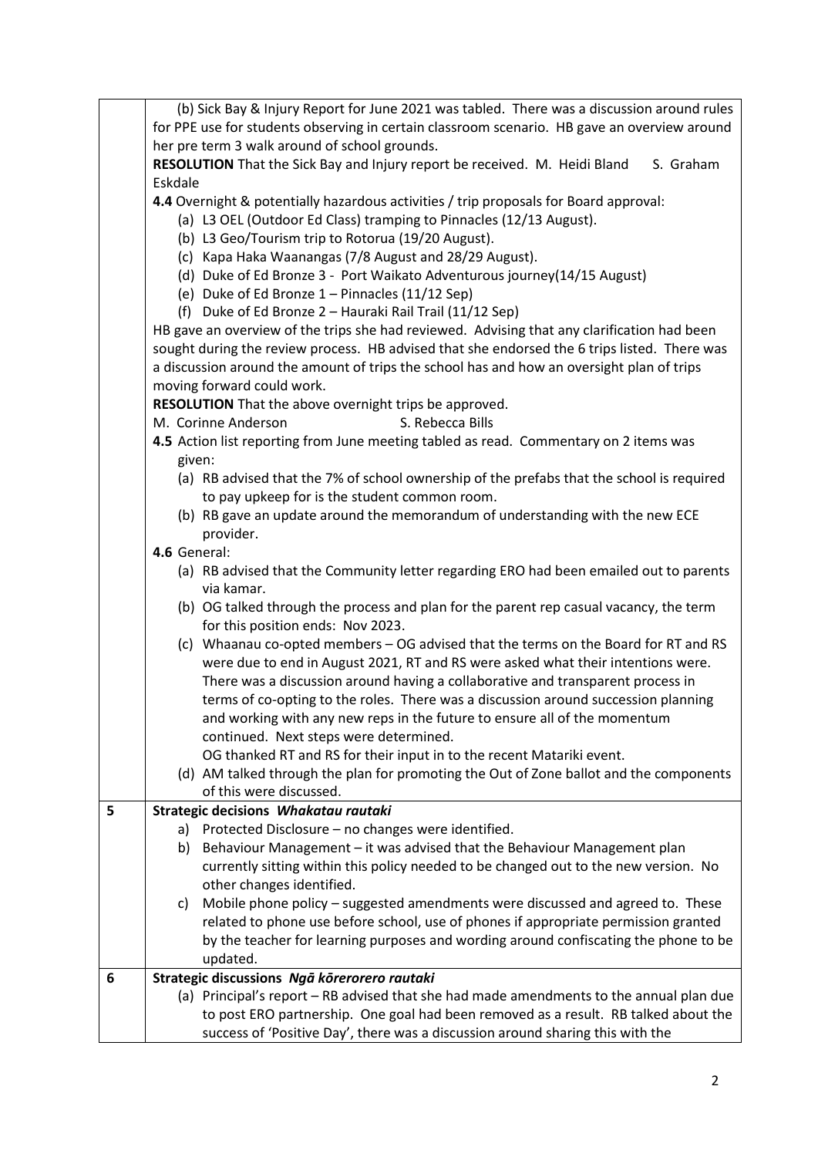|   | (b) Sick Bay & Injury Report for June 2021 was tabled. There was a discussion around rules           |
|---|------------------------------------------------------------------------------------------------------|
|   | for PPE use for students observing in certain classroom scenario. HB gave an overview around         |
|   | her pre term 3 walk around of school grounds.                                                        |
|   | RESOLUTION That the Sick Bay and Injury report be received. M. Heidi Bland<br>S. Graham              |
|   | Eskdale                                                                                              |
|   | 4.4 Overnight & potentially hazardous activities / trip proposals for Board approval:                |
|   | (a) L3 OEL (Outdoor Ed Class) tramping to Pinnacles (12/13 August).                                  |
|   | (b) L3 Geo/Tourism trip to Rotorua (19/20 August).                                                   |
|   | (c) Kapa Haka Waanangas (7/8 August and 28/29 August).                                               |
|   | (d) Duke of Ed Bronze 3 - Port Waikato Adventurous journey(14/15 August)                             |
|   | (e) Duke of Ed Bronze 1 - Pinnacles (11/12 Sep)                                                      |
|   | (f) Duke of Ed Bronze 2 - Hauraki Rail Trail (11/12 Sep)                                             |
|   | HB gave an overview of the trips she had reviewed. Advising that any clarification had been          |
|   | sought during the review process. HB advised that she endorsed the 6 trips listed. There was         |
|   | a discussion around the amount of trips the school has and how an oversight plan of trips            |
|   | moving forward could work.                                                                           |
|   | RESOLUTION That the above overnight trips be approved.                                               |
|   | M. Corinne Anderson<br>S. Rebecca Bills                                                              |
|   | 4.5 Action list reporting from June meeting tabled as read. Commentary on 2 items was                |
|   | given:                                                                                               |
|   | (a) RB advised that the 7% of school ownership of the prefabs that the school is required            |
|   | to pay upkeep for is the student common room.                                                        |
|   | (b) RB gave an update around the memorandum of understanding with the new ECE                        |
|   | provider.                                                                                            |
|   | 4.6 General:                                                                                         |
|   | (a) RB advised that the Community letter regarding ERO had been emailed out to parents<br>via kamar. |
|   | (b) OG talked through the process and plan for the parent rep casual vacancy, the term               |
|   | for this position ends: Nov 2023.                                                                    |
|   | (c) Whaanau co-opted members - OG advised that the terms on the Board for RT and RS                  |
|   | were due to end in August 2021, RT and RS were asked what their intentions were.                     |
|   | There was a discussion around having a collaborative and transparent process in                      |
|   | terms of co-opting to the roles. There was a discussion around succession planning                   |
|   | and working with any new reps in the future to ensure all of the momentum                            |
|   | continued. Next steps were determined.                                                               |
|   | OG thanked RT and RS for their input in to the recent Matariki event.                                |
|   | (d) AM talked through the plan for promoting the Out of Zone ballot and the components               |
|   | of this were discussed.                                                                              |
| 5 | Strategic decisions Whakatau rautaki                                                                 |
|   | Protected Disclosure - no changes were identified.<br>a)                                             |
|   | Behaviour Management - it was advised that the Behaviour Management plan<br>b)                       |
|   | currently sitting within this policy needed to be changed out to the new version. No                 |
|   | other changes identified.                                                                            |
|   | Mobile phone policy – suggested amendments were discussed and agreed to. These<br>C)                 |
|   | related to phone use before school, use of phones if appropriate permission granted                  |
|   | by the teacher for learning purposes and wording around confiscating the phone to be                 |
|   | updated.                                                                                             |
| 6 | Strategic discussions Ngā kōrerorero rautaki                                                         |
|   | (a) Principal's report - RB advised that she had made amendments to the annual plan due              |
|   | to post ERO partnership. One goal had been removed as a result. RB talked about the                  |
|   | success of 'Positive Day', there was a discussion around sharing this with the                       |